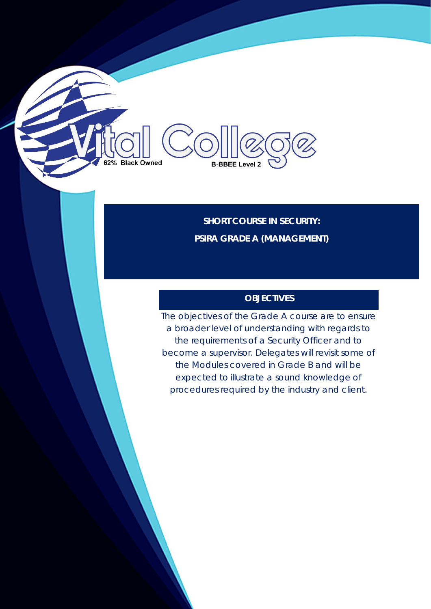**SHORT COURSE IN SECURITY: PSIRA GRADE A (MANAGEMENT)**

**B-BBEE Level 2** 

62% Black Owned

## **OBJECTIVES**

The objectives of the Grade A course are to ensure a broader level of understanding with regards to the requirements of a Security Officer and to become a supervisor. Delegates will revisit some of the Modules covered in Grade B and will be expected to illustrate a sound knowledge of procedures required by the industry and client.